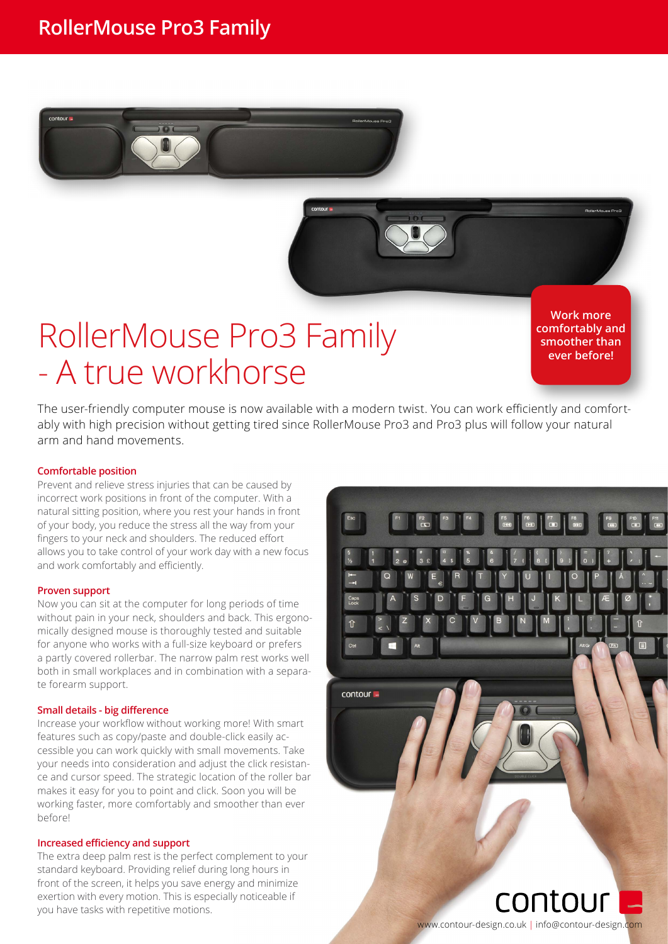

# RollerMouse Pro3 Family - A true workhorse

**Work more comfortably and smoother than ever before!**

The user-friendly computer mouse is now available with a modern twist. You can work efficiently and comfortably with high precision without getting tired since RollerMouse Pro3 and Pro3 plus will follow your natural arm and hand movements.

#### **Comfortable position**

Prevent and relieve stress injuries that can be caused by incorrect work positions in front of the computer. With a natural sitting position, where you rest your hands in front of your body, you reduce the stress all the way from your fingers to your neck and shoulders. The reduced effort allows you to take control of your work day with a new focus and work comfortably and efficiently.

#### **Proven support**

Now you can sit at the computer for long periods of time without pain in your neck, shoulders and back. This ergonomically designed mouse is thoroughly tested and suitable for anyone who works with a full-size keyboard or prefers a partly covered rollerbar. The narrow palm rest works well both in small workplaces and in combination with a separate forearm support.

#### **Small details - big difference**

Increase your workflow without working more! With smart features such as copy/paste and double-click easily accessible you can work quickly with small movements. Take your needs into consideration and adjust the click resistance and cursor speed. The strategic location of the roller bar makes it easy for you to point and click. Soon you will be working faster, more comfortably and smoother than ever before!

#### **Increased efficiency and support**

The extra deep palm rest is the perfect complement to your standard keyboard. Providing relief during long hours in front of the screen, it helps you save energy and minimize exertion with every motion. This is especially noticeable if you have tasks with repetitive motions.